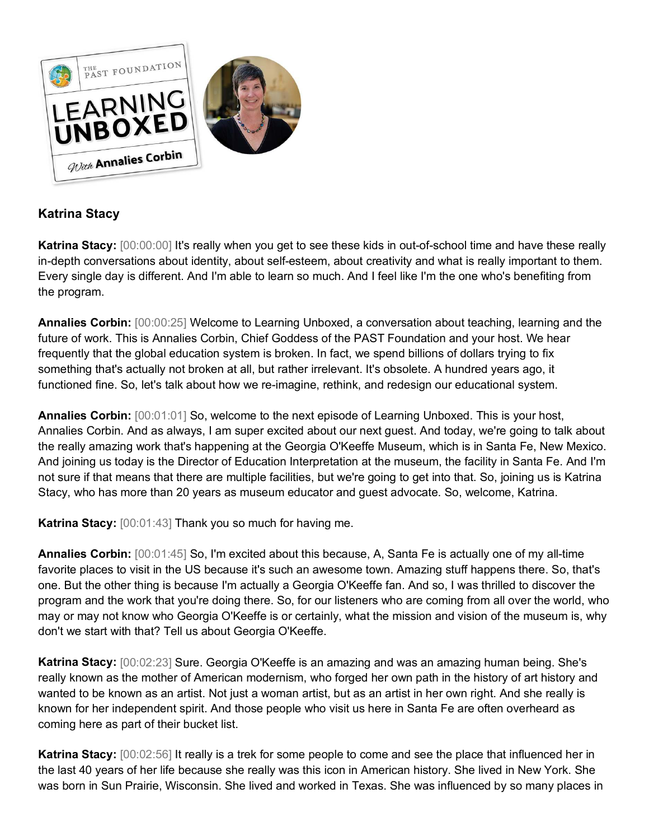

## **Katrina Stacy**

**Katrina Stacy:** [00:00:00] It's really when you get to see these kids in out-of-school time and have these really in-depth conversations about identity, about self-esteem, about creativity and what is really important to them. Every single day is different. And I'm able to learn so much. And I feel like I'm the one who's benefiting from the program.

**Annalies Corbin:** [00:00:25] Welcome to Learning Unboxed, a conversation about teaching, learning and the future of work. This is Annalies Corbin, Chief Goddess of the PAST Foundation and your host. We hear frequently that the global education system is broken. In fact, we spend billions of dollars trying to fix something that's actually not broken at all, but rather irrelevant. It's obsolete. A hundred years ago, it functioned fine. So, let's talk about how we re-imagine, rethink, and redesign our educational system.

**Annalies Corbin:** [00:01:01] So, welcome to the next episode of Learning Unboxed. This is your host, Annalies Corbin. And as always, I am super excited about our next guest. And today, we're going to talk about the really amazing work that's happening at the Georgia O'Keeffe Museum, which is in Santa Fe, New Mexico. And joining us today is the Director of Education Interpretation at the museum, the facility in Santa Fe. And I'm not sure if that means that there are multiple facilities, but we're going to get into that. So, joining us is Katrina Stacy, who has more than 20 years as museum educator and guest advocate. So, welcome, Katrina.

**Katrina Stacy:** [00:01:43] Thank you so much for having me.

**Annalies Corbin:** [00:01:45] So, I'm excited about this because, A, Santa Fe is actually one of my all-time favorite places to visit in the US because it's such an awesome town. Amazing stuff happens there. So, that's one. But the other thing is because I'm actually a Georgia O'Keeffe fan. And so, I was thrilled to discover the program and the work that you're doing there. So, for our listeners who are coming from all over the world, who may or may not know who Georgia O'Keeffe is or certainly, what the mission and vision of the museum is, why don't we start with that? Tell us about Georgia O'Keeffe.

**Katrina Stacy:** [00:02:23] Sure. Georgia O'Keeffe is an amazing and was an amazing human being. She's really known as the mother of American modernism, who forged her own path in the history of art history and wanted to be known as an artist. Not just a woman artist, but as an artist in her own right. And she really is known for her independent spirit. And those people who visit us here in Santa Fe are often overheard as coming here as part of their bucket list.

**Katrina Stacy:** [00:02:56] It really is a trek for some people to come and see the place that influenced her in the last 40 years of her life because she really was this icon in American history. She lived in New York. She was born in Sun Prairie, Wisconsin. She lived and worked in Texas. She was influenced by so many places in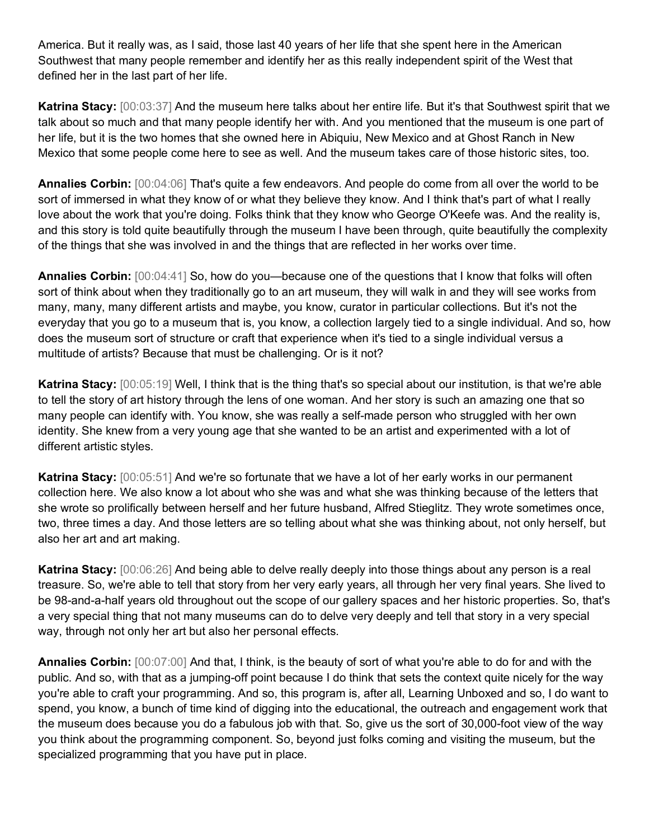America. But it really was, as I said, those last 40 years of her life that she spent here in the American Southwest that many people remember and identify her as this really independent spirit of the West that defined her in the last part of her life.

**Katrina Stacy:** [00:03:37] And the museum here talks about her entire life. But it's that Southwest spirit that we talk about so much and that many people identify her with. And you mentioned that the museum is one part of her life, but it is the two homes that she owned here in Abiquiu, New Mexico and at Ghost Ranch in New Mexico that some people come here to see as well. And the museum takes care of those historic sites, too.

**Annalies Corbin:** [00:04:06] That's quite a few endeavors. And people do come from all over the world to be sort of immersed in what they know of or what they believe they know. And I think that's part of what I really love about the work that you're doing. Folks think that they know who George O'Keefe was. And the reality is, and this story is told quite beautifully through the museum I have been through, quite beautifully the complexity of the things that she was involved in and the things that are reflected in her works over time.

**Annalies Corbin:** [00:04:41] So, how do you—because one of the questions that I know that folks will often sort of think about when they traditionally go to an art museum, they will walk in and they will see works from many, many, many different artists and maybe, you know, curator in particular collections. But it's not the everyday that you go to a museum that is, you know, a collection largely tied to a single individual. And so, how does the museum sort of structure or craft that experience when it's tied to a single individual versus a multitude of artists? Because that must be challenging. Or is it not?

**Katrina Stacy:** [00:05:19] Well, I think that is the thing that's so special about our institution, is that we're able to tell the story of art history through the lens of one woman. And her story is such an amazing one that so many people can identify with. You know, she was really a self-made person who struggled with her own identity. She knew from a very young age that she wanted to be an artist and experimented with a lot of different artistic styles.

**Katrina Stacy:** [00:05:51] And we're so fortunate that we have a lot of her early works in our permanent collection here. We also know a lot about who she was and what she was thinking because of the letters that she wrote so prolifically between herself and her future husband, Alfred Stieglitz. They wrote sometimes once, two, three times a day. And those letters are so telling about what she was thinking about, not only herself, but also her art and art making.

**Katrina Stacy:** [00:06:26] And being able to delve really deeply into those things about any person is a real treasure. So, we're able to tell that story from her very early years, all through her very final years. She lived to be 98-and-a-half years old throughout out the scope of our gallery spaces and her historic properties. So, that's a very special thing that not many museums can do to delve very deeply and tell that story in a very special way, through not only her art but also her personal effects.

**Annalies Corbin:** [00:07:00] And that, I think, is the beauty of sort of what you're able to do for and with the public. And so, with that as a jumping-off point because I do think that sets the context quite nicely for the way you're able to craft your programming. And so, this program is, after all, Learning Unboxed and so, I do want to spend, you know, a bunch of time kind of digging into the educational, the outreach and engagement work that the museum does because you do a fabulous job with that. So, give us the sort of 30,000-foot view of the way you think about the programming component. So, beyond just folks coming and visiting the museum, but the specialized programming that you have put in place.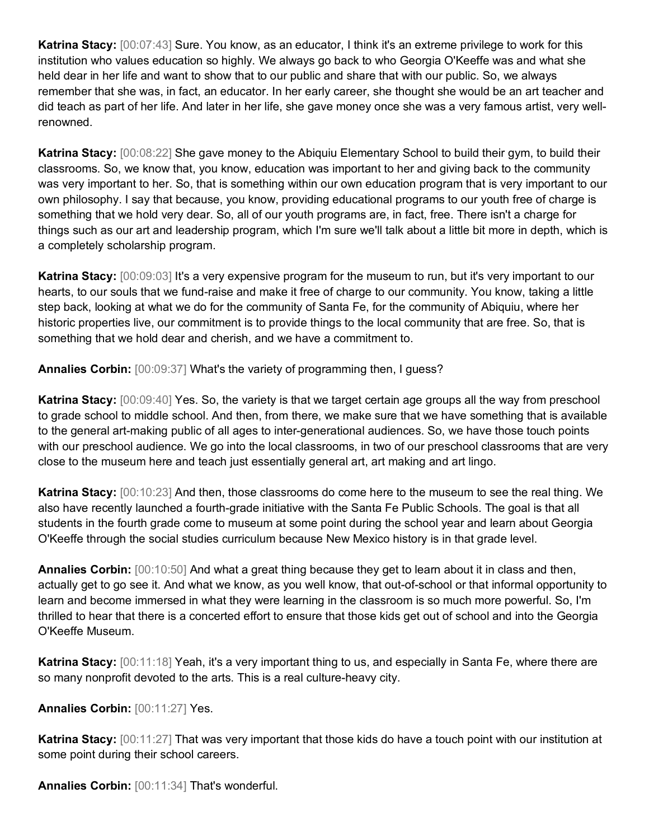**Katrina Stacy:** [00:07:43] Sure. You know, as an educator, I think it's an extreme privilege to work for this institution who values education so highly. We always go back to who Georgia O'Keeffe was and what she held dear in her life and want to show that to our public and share that with our public. So, we always remember that she was, in fact, an educator. In her early career, she thought she would be an art teacher and did teach as part of her life. And later in her life, she gave money once she was a very famous artist, very wellrenowned.

**Katrina Stacy:** [00:08:22] She gave money to the Abiquiu Elementary School to build their gym, to build their classrooms. So, we know that, you know, education was important to her and giving back to the community was very important to her. So, that is something within our own education program that is very important to our own philosophy. I say that because, you know, providing educational programs to our youth free of charge is something that we hold very dear. So, all of our youth programs are, in fact, free. There isn't a charge for things such as our art and leadership program, which I'm sure we'll talk about a little bit more in depth, which is a completely scholarship program.

**Katrina Stacy:** [00:09:03] It's a very expensive program for the museum to run, but it's very important to our hearts, to our souls that we fund-raise and make it free of charge to our community. You know, taking a little step back, looking at what we do for the community of Santa Fe, for the community of Abiquiu, where her historic properties live, our commitment is to provide things to the local community that are free. So, that is something that we hold dear and cherish, and we have a commitment to.

**Annalies Corbin:** [00:09:37] What's the variety of programming then, I guess?

**Katrina Stacy:** [00:09:40] Yes. So, the variety is that we target certain age groups all the way from preschool to grade school to middle school. And then, from there, we make sure that we have something that is available to the general art-making public of all ages to inter-generational audiences. So, we have those touch points with our preschool audience. We go into the local classrooms, in two of our preschool classrooms that are very close to the museum here and teach just essentially general art, art making and art lingo.

**Katrina Stacy:** [00:10:23] And then, those classrooms do come here to the museum to see the real thing. We also have recently launched a fourth-grade initiative with the Santa Fe Public Schools. The goal is that all students in the fourth grade come to museum at some point during the school year and learn about Georgia O'Keeffe through the social studies curriculum because New Mexico history is in that grade level.

**Annalies Corbin:** [00:10:50] And what a great thing because they get to learn about it in class and then, actually get to go see it. And what we know, as you well know, that out-of-school or that informal opportunity to learn and become immersed in what they were learning in the classroom is so much more powerful. So, I'm thrilled to hear that there is a concerted effort to ensure that those kids get out of school and into the Georgia O'Keeffe Museum.

**Katrina Stacy:** [00:11:18] Yeah, it's a very important thing to us, and especially in Santa Fe, where there are so many nonprofit devoted to the arts. This is a real culture-heavy city.

**Annalies Corbin:** [00:11:27] Yes.

**Katrina Stacy:** [00:11:27] That was very important that those kids do have a touch point with our institution at some point during their school careers.

**Annalies Corbin:** [00:11:34] That's wonderful.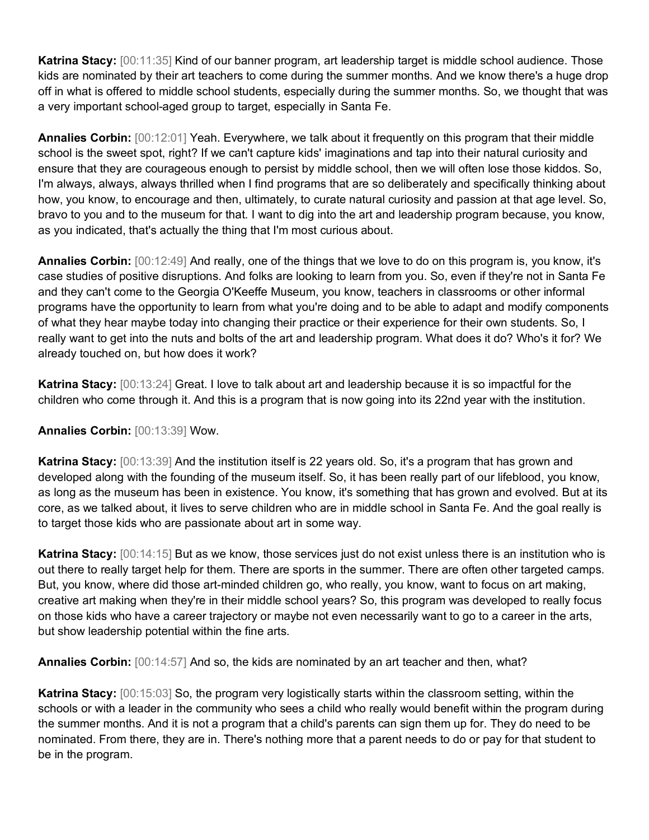**Katrina Stacy:** [00:11:35] Kind of our banner program, art leadership target is middle school audience. Those kids are nominated by their art teachers to come during the summer months. And we know there's a huge drop off in what is offered to middle school students, especially during the summer months. So, we thought that was a very important school-aged group to target, especially in Santa Fe.

**Annalies Corbin:** [00:12:01] Yeah. Everywhere, we talk about it frequently on this program that their middle school is the sweet spot, right? If we can't capture kids' imaginations and tap into their natural curiosity and ensure that they are courageous enough to persist by middle school, then we will often lose those kiddos. So, I'm always, always, always thrilled when I find programs that are so deliberately and specifically thinking about how, you know, to encourage and then, ultimately, to curate natural curiosity and passion at that age level. So, bravo to you and to the museum for that. I want to dig into the art and leadership program because, you know, as you indicated, that's actually the thing that I'm most curious about.

**Annalies Corbin:** [00:12:49] And really, one of the things that we love to do on this program is, you know, it's case studies of positive disruptions. And folks are looking to learn from you. So, even if they're not in Santa Fe and they can't come to the Georgia O'Keeffe Museum, you know, teachers in classrooms or other informal programs have the opportunity to learn from what you're doing and to be able to adapt and modify components of what they hear maybe today into changing their practice or their experience for their own students. So, I really want to get into the nuts and bolts of the art and leadership program. What does it do? Who's it for? We already touched on, but how does it work?

**Katrina Stacy:** [00:13:24] Great. I love to talk about art and leadership because it is so impactful for the children who come through it. And this is a program that is now going into its 22nd year with the institution.

## **Annalies Corbin:** [00:13:39] Wow.

**Katrina Stacy:** [00:13:39] And the institution itself is 22 years old. So, it's a program that has grown and developed along with the founding of the museum itself. So, it has been really part of our lifeblood, you know, as long as the museum has been in existence. You know, it's something that has grown and evolved. But at its core, as we talked about, it lives to serve children who are in middle school in Santa Fe. And the goal really is to target those kids who are passionate about art in some way.

**Katrina Stacy:** [00:14:15] But as we know, those services just do not exist unless there is an institution who is out there to really target help for them. There are sports in the summer. There are often other targeted camps. But, you know, where did those art-minded children go, who really, you know, want to focus on art making, creative art making when they're in their middle school years? So, this program was developed to really focus on those kids who have a career trajectory or maybe not even necessarily want to go to a career in the arts, but show leadership potential within the fine arts.

**Annalies Corbin:** [00:14:57] And so, the kids are nominated by an art teacher and then, what?

**Katrina Stacy:** [00:15:03] So, the program very logistically starts within the classroom setting, within the schools or with a leader in the community who sees a child who really would benefit within the program during the summer months. And it is not a program that a child's parents can sign them up for. They do need to be nominated. From there, they are in. There's nothing more that a parent needs to do or pay for that student to be in the program.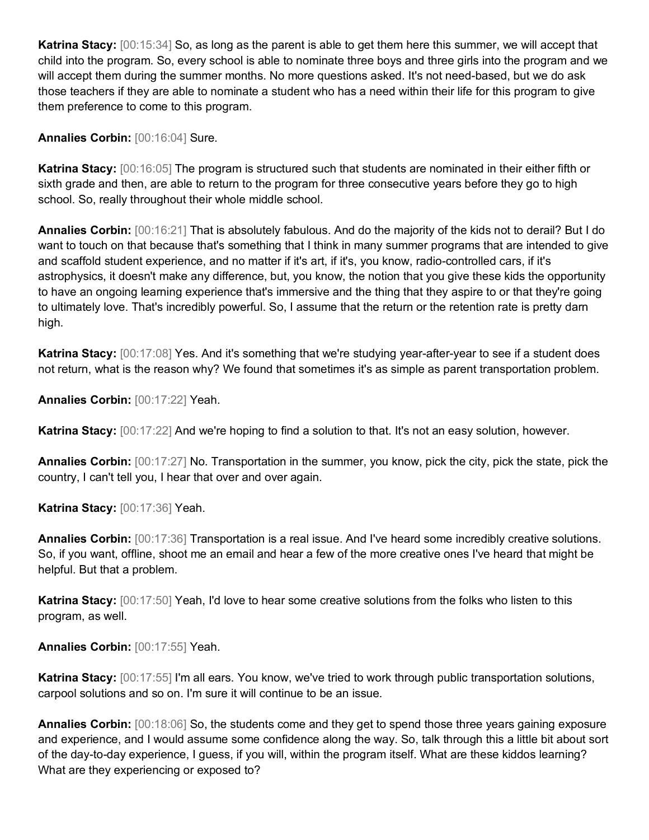**Katrina Stacy:** [00:15:34] So, as long as the parent is able to get them here this summer, we will accept that child into the program. So, every school is able to nominate three boys and three girls into the program and we will accept them during the summer months. No more questions asked. It's not need-based, but we do ask those teachers if they are able to nominate a student who has a need within their life for this program to give them preference to come to this program.

## **Annalies Corbin:** [00:16:04] Sure.

**Katrina Stacy:** [00:16:05] The program is structured such that students are nominated in their either fifth or sixth grade and then, are able to return to the program for three consecutive years before they go to high school. So, really throughout their whole middle school.

**Annalies Corbin:** [00:16:21] That is absolutely fabulous. And do the majority of the kids not to derail? But I do want to touch on that because that's something that I think in many summer programs that are intended to give and scaffold student experience, and no matter if it's art, if it's, you know, radio-controlled cars, if it's astrophysics, it doesn't make any difference, but, you know, the notion that you give these kids the opportunity to have an ongoing learning experience that's immersive and the thing that they aspire to or that they're going to ultimately love. That's incredibly powerful. So, I assume that the return or the retention rate is pretty darn high.

**Katrina Stacy:** [00:17:08] Yes. And it's something that we're studying year-after-year to see if a student does not return, what is the reason why? We found that sometimes it's as simple as parent transportation problem.

**Annalies Corbin:** [00:17:22] Yeah.

**Katrina Stacy:** [00:17:22] And we're hoping to find a solution to that. It's not an easy solution, however.

**Annalies Corbin:** [00:17:27] No. Transportation in the summer, you know, pick the city, pick the state, pick the country, I can't tell you, I hear that over and over again.

**Katrina Stacy:** [00:17:36] Yeah.

**Annalies Corbin:** [00:17:36] Transportation is a real issue. And I've heard some incredibly creative solutions. So, if you want, offline, shoot me an email and hear a few of the more creative ones I've heard that might be helpful. But that a problem.

**Katrina Stacy:** [00:17:50] Yeah, I'd love to hear some creative solutions from the folks who listen to this program, as well.

**Annalies Corbin:** [00:17:55] Yeah.

**Katrina Stacy:** [00:17:55] I'm all ears. You know, we've tried to work through public transportation solutions, carpool solutions and so on. I'm sure it will continue to be an issue.

**Annalies Corbin:** [00:18:06] So, the students come and they get to spend those three years gaining exposure and experience, and I would assume some confidence along the way. So, talk through this a little bit about sort of the day-to-day experience, I guess, if you will, within the program itself. What are these kiddos learning? What are they experiencing or exposed to?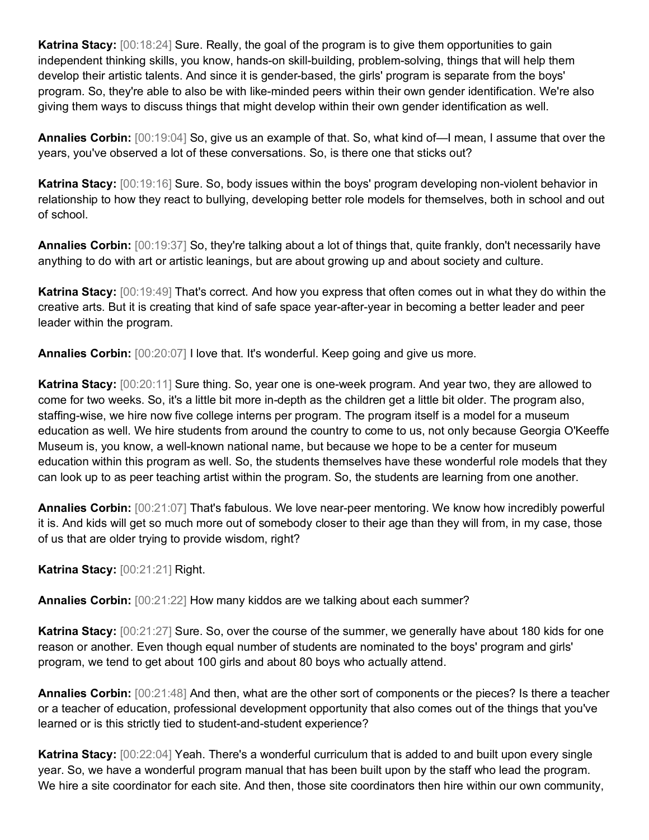**Katrina Stacy:** [00:18:24] Sure. Really, the goal of the program is to give them opportunities to gain independent thinking skills, you know, hands-on skill-building, problem-solving, things that will help them develop their artistic talents. And since it is gender-based, the girls' program is separate from the boys' program. So, they're able to also be with like-minded peers within their own gender identification. We're also giving them ways to discuss things that might develop within their own gender identification as well.

**Annalies Corbin:** [00:19:04] So, give us an example of that. So, what kind of—I mean, I assume that over the years, you've observed a lot of these conversations. So, is there one that sticks out?

**Katrina Stacy:** [00:19:16] Sure. So, body issues within the boys' program developing non-violent behavior in relationship to how they react to bullying, developing better role models for themselves, both in school and out of school.

**Annalies Corbin:** [00:19:37] So, they're talking about a lot of things that, quite frankly, don't necessarily have anything to do with art or artistic leanings, but are about growing up and about society and culture.

**Katrina Stacy:** [00:19:49] That's correct. And how you express that often comes out in what they do within the creative arts. But it is creating that kind of safe space year-after-year in becoming a better leader and peer leader within the program.

**Annalies Corbin:** [00:20:07] I love that. It's wonderful. Keep going and give us more.

**Katrina Stacy:** [00:20:11] Sure thing. So, year one is one-week program. And year two, they are allowed to come for two weeks. So, it's a little bit more in-depth as the children get a little bit older. The program also, staffing-wise, we hire now five college interns per program. The program itself is a model for a museum education as well. We hire students from around the country to come to us, not only because Georgia O'Keeffe Museum is, you know, a well-known national name, but because we hope to be a center for museum education within this program as well. So, the students themselves have these wonderful role models that they can look up to as peer teaching artist within the program. So, the students are learning from one another.

**Annalies Corbin:** [00:21:07] That's fabulous. We love near-peer mentoring. We know how incredibly powerful it is. And kids will get so much more out of somebody closer to their age than they will from, in my case, those of us that are older trying to provide wisdom, right?

**Katrina Stacy:** [00:21:21] Right.

**Annalies Corbin:** [00:21:22] How many kiddos are we talking about each summer?

**Katrina Stacy:** [00:21:27] Sure. So, over the course of the summer, we generally have about 180 kids for one reason or another. Even though equal number of students are nominated to the boys' program and girls' program, we tend to get about 100 girls and about 80 boys who actually attend.

**Annalies Corbin:** [00:21:48] And then, what are the other sort of components or the pieces? Is there a teacher or a teacher of education, professional development opportunity that also comes out of the things that you've learned or is this strictly tied to student-and-student experience?

**Katrina Stacy:** [00:22:04] Yeah. There's a wonderful curriculum that is added to and built upon every single year. So, we have a wonderful program manual that has been built upon by the staff who lead the program. We hire a site coordinator for each site. And then, those site coordinators then hire within our own community,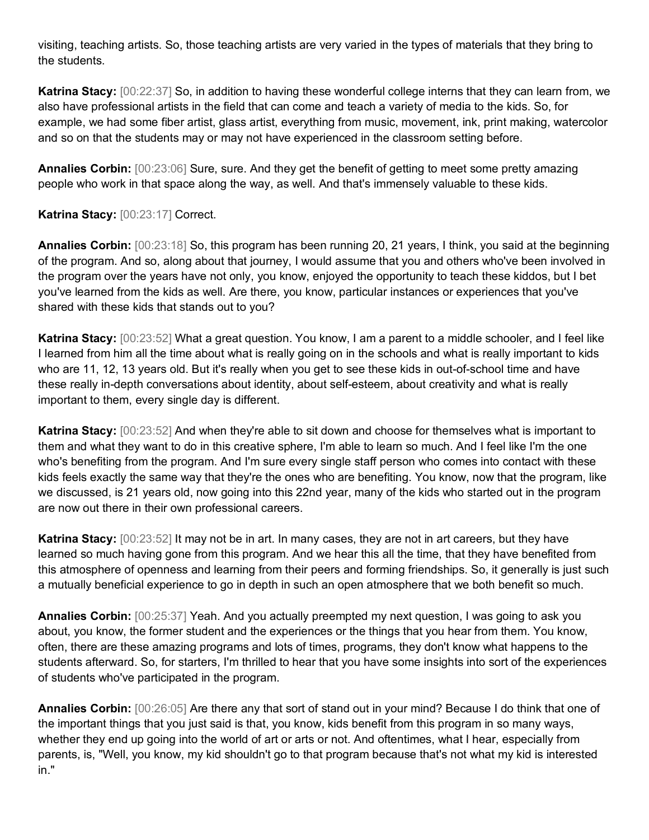visiting, teaching artists. So, those teaching artists are very varied in the types of materials that they bring to the students.

**Katrina Stacy:** [00:22:37] So, in addition to having these wonderful college interns that they can learn from, we also have professional artists in the field that can come and teach a variety of media to the kids. So, for example, we had some fiber artist, glass artist, everything from music, movement, ink, print making, watercolor and so on that the students may or may not have experienced in the classroom setting before.

**Annalies Corbin:** [00:23:06] Sure, sure. And they get the benefit of getting to meet some pretty amazing people who work in that space along the way, as well. And that's immensely valuable to these kids.

**Katrina Stacy:** [00:23:17] Correct.

**Annalies Corbin:** [00:23:18] So, this program has been running 20, 21 years, I think, you said at the beginning of the program. And so, along about that journey, I would assume that you and others who've been involved in the program over the years have not only, you know, enjoyed the opportunity to teach these kiddos, but I bet you've learned from the kids as well. Are there, you know, particular instances or experiences that you've shared with these kids that stands out to you?

**Katrina Stacy:** [00:23:52] What a great question. You know, I am a parent to a middle schooler, and I feel like I learned from him all the time about what is really going on in the schools and what is really important to kids who are 11, 12, 13 years old. But it's really when you get to see these kids in out-of-school time and have these really in-depth conversations about identity, about self-esteem, about creativity and what is really important to them, every single day is different.

**Katrina Stacy:** [00:23:52] And when they're able to sit down and choose for themselves what is important to them and what they want to do in this creative sphere, I'm able to learn so much. And I feel like I'm the one who's benefiting from the program. And I'm sure every single staff person who comes into contact with these kids feels exactly the same way that they're the ones who are benefiting. You know, now that the program, like we discussed, is 21 years old, now going into this 22nd year, many of the kids who started out in the program are now out there in their own professional careers.

**Katrina Stacy:** [00:23:52] It may not be in art. In many cases, they are not in art careers, but they have learned so much having gone from this program. And we hear this all the time, that they have benefited from this atmosphere of openness and learning from their peers and forming friendships. So, it generally is just such a mutually beneficial experience to go in depth in such an open atmosphere that we both benefit so much.

**Annalies Corbin:** [00:25:37] Yeah. And you actually preempted my next question, I was going to ask you about, you know, the former student and the experiences or the things that you hear from them. You know, often, there are these amazing programs and lots of times, programs, they don't know what happens to the students afterward. So, for starters, I'm thrilled to hear that you have some insights into sort of the experiences of students who've participated in the program.

**Annalies Corbin:** [00:26:05] Are there any that sort of stand out in your mind? Because I do think that one of the important things that you just said is that, you know, kids benefit from this program in so many ways, whether they end up going into the world of art or arts or not. And oftentimes, what I hear, especially from parents, is, "Well, you know, my kid shouldn't go to that program because that's not what my kid is interested in."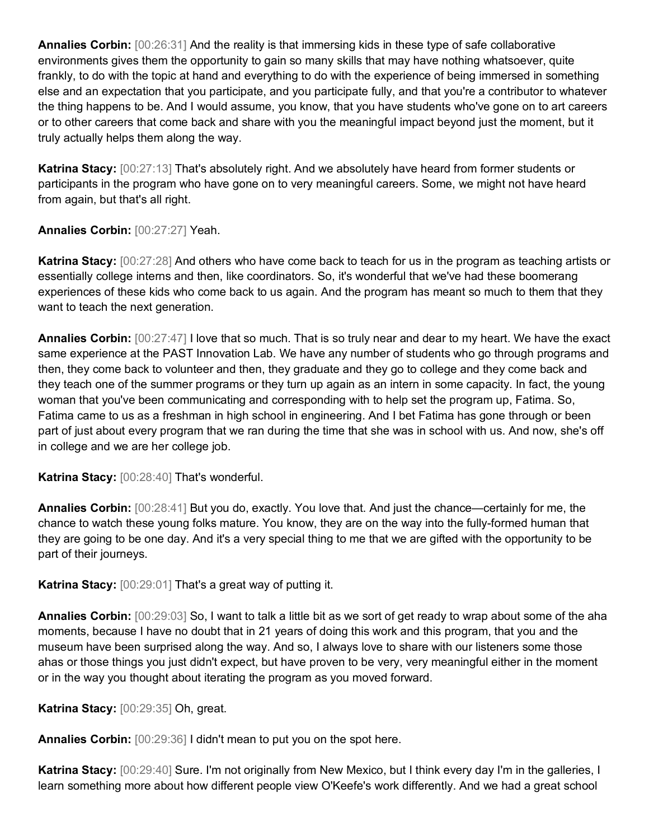**Annalies Corbin:** [00:26:31] And the reality is that immersing kids in these type of safe collaborative environments gives them the opportunity to gain so many skills that may have nothing whatsoever, quite frankly, to do with the topic at hand and everything to do with the experience of being immersed in something else and an expectation that you participate, and you participate fully, and that you're a contributor to whatever the thing happens to be. And I would assume, you know, that you have students who've gone on to art careers or to other careers that come back and share with you the meaningful impact beyond just the moment, but it truly actually helps them along the way.

**Katrina Stacy:** [00:27:13] That's absolutely right. And we absolutely have heard from former students or participants in the program who have gone on to very meaningful careers. Some, we might not have heard from again, but that's all right.

**Annalies Corbin:** [00:27:27] Yeah.

**Katrina Stacy:** [00:27:28] And others who have come back to teach for us in the program as teaching artists or essentially college interns and then, like coordinators. So, it's wonderful that we've had these boomerang experiences of these kids who come back to us again. And the program has meant so much to them that they want to teach the next generation.

**Annalies Corbin:** [00:27:47] I love that so much. That is so truly near and dear to my heart. We have the exact same experience at the PAST Innovation Lab. We have any number of students who go through programs and then, they come back to volunteer and then, they graduate and they go to college and they come back and they teach one of the summer programs or they turn up again as an intern in some capacity. In fact, the young woman that you've been communicating and corresponding with to help set the program up, Fatima. So, Fatima came to us as a freshman in high school in engineering. And I bet Fatima has gone through or been part of just about every program that we ran during the time that she was in school with us. And now, she's off in college and we are her college job.

**Katrina Stacy:** [00:28:40] That's wonderful.

**Annalies Corbin:** [00:28:41] But you do, exactly. You love that. And just the chance—certainly for me, the chance to watch these young folks mature. You know, they are on the way into the fully-formed human that they are going to be one day. And it's a very special thing to me that we are gifted with the opportunity to be part of their journeys.

**Katrina Stacy:** [00:29:01] That's a great way of putting it.

**Annalies Corbin:** [00:29:03] So, I want to talk a little bit as we sort of get ready to wrap about some of the aha moments, because I have no doubt that in 21 years of doing this work and this program, that you and the museum have been surprised along the way. And so, I always love to share with our listeners some those ahas or those things you just didn't expect, but have proven to be very, very meaningful either in the moment or in the way you thought about iterating the program as you moved forward.

**Katrina Stacy:** [00:29:35] Oh, great.

**Annalies Corbin:** [00:29:36] I didn't mean to put you on the spot here.

**Katrina Stacy:** [00:29:40] Sure. I'm not originally from New Mexico, but I think every day I'm in the galleries, I learn something more about how different people view O'Keefe's work differently. And we had a great school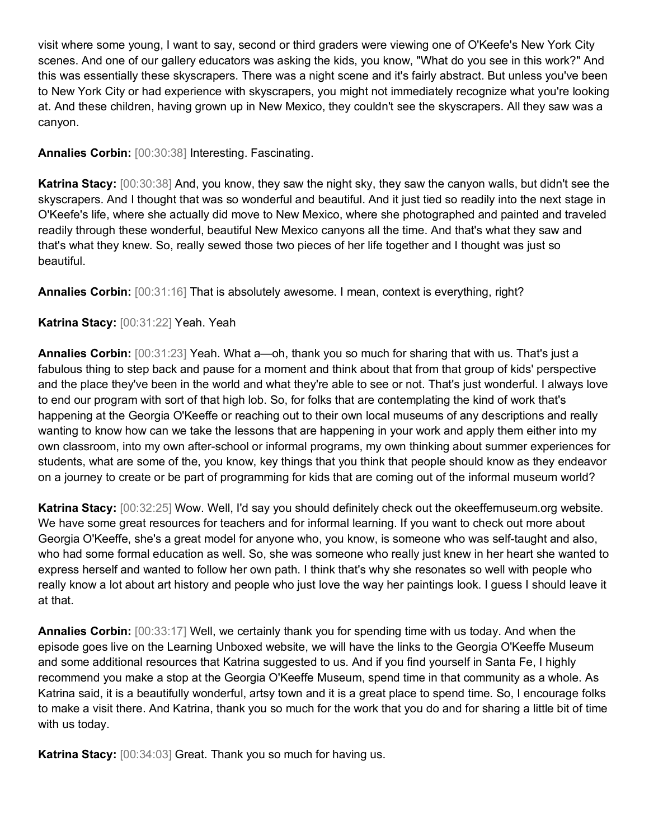visit where some young, I want to say, second or third graders were viewing one of O'Keefe's New York City scenes. And one of our gallery educators was asking the kids, you know, "What do you see in this work?" And this was essentially these skyscrapers. There was a night scene and it's fairly abstract. But unless you've been to New York City or had experience with skyscrapers, you might not immediately recognize what you're looking at. And these children, having grown up in New Mexico, they couldn't see the skyscrapers. All they saw was a canyon.

**Annalies Corbin:** [00:30:38] Interesting. Fascinating.

**Katrina Stacy:** [00:30:38] And, you know, they saw the night sky, they saw the canyon walls, but didn't see the skyscrapers. And I thought that was so wonderful and beautiful. And it just tied so readily into the next stage in O'Keefe's life, where she actually did move to New Mexico, where she photographed and painted and traveled readily through these wonderful, beautiful New Mexico canyons all the time. And that's what they saw and that's what they knew. So, really sewed those two pieces of her life together and I thought was just so beautiful.

**Annalies Corbin:** [00:31:16] That is absolutely awesome. I mean, context is everything, right?

## **Katrina Stacy:** [00:31:22] Yeah. Yeah

**Annalies Corbin:** [00:31:23] Yeah. What a—oh, thank you so much for sharing that with us. That's just a fabulous thing to step back and pause for a moment and think about that from that group of kids' perspective and the place they've been in the world and what they're able to see or not. That's just wonderful. I always love to end our program with sort of that high lob. So, for folks that are contemplating the kind of work that's happening at the Georgia O'Keeffe or reaching out to their own local museums of any descriptions and really wanting to know how can we take the lessons that are happening in your work and apply them either into my own classroom, into my own after-school or informal programs, my own thinking about summer experiences for students, what are some of the, you know, key things that you think that people should know as they endeavor on a journey to create or be part of programming for kids that are coming out of the informal museum world?

**Katrina Stacy:** [00:32:25] Wow. Well, I'd say you should definitely check out the okeeffemuseum.org website. We have some great resources for teachers and for informal learning. If you want to check out more about Georgia O'Keeffe, she's a great model for anyone who, you know, is someone who was self-taught and also, who had some formal education as well. So, she was someone who really just knew in her heart she wanted to express herself and wanted to follow her own path. I think that's why she resonates so well with people who really know a lot about art history and people who just love the way her paintings look. I guess I should leave it at that.

**Annalies Corbin:** [00:33:17] Well, we certainly thank you for spending time with us today. And when the episode goes live on the Learning Unboxed website, we will have the links to the Georgia O'Keeffe Museum and some additional resources that Katrina suggested to us. And if you find yourself in Santa Fe, I highly recommend you make a stop at the Georgia O'Keeffe Museum, spend time in that community as a whole. As Katrina said, it is a beautifully wonderful, artsy town and it is a great place to spend time. So, I encourage folks to make a visit there. And Katrina, thank you so much for the work that you do and for sharing a little bit of time with us today.

**Katrina Stacy:** [00:34:03] Great. Thank you so much for having us.